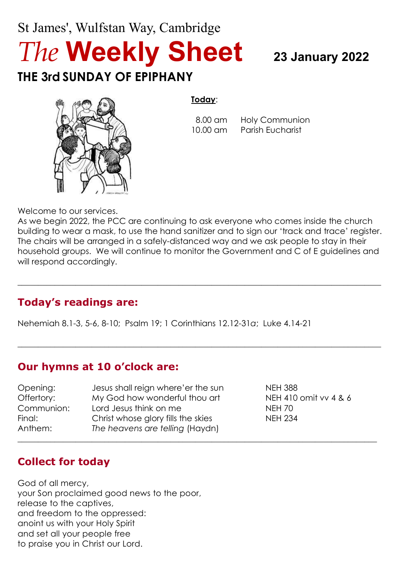# St James', Wulfstan Way, Cambridge *The* **Weekly Sheet <sup>23</sup> January 2022 THE 3rd SUNDAY OF EPIPHANY**

### **Today**:

 8.00 am Holy Communion 10.00 am Parish Eucharist

Welcome to our services.

As we begin 2022, the PCC are continuing to ask everyone who comes inside the church building to wear a mask, to use the hand sanitizer and to sign our 'track and trace' register. The chairs will be arranged in a safely-distanced way and we ask people to stay in their household groups. We will continue to monitor the Government and C of E guidelines and will respond accordingly.

 $\_$  , and the set of the set of the set of the set of the set of the set of the set of the set of the set of the set of the set of the set of the set of the set of the set of the set of the set of the set of the set of th

 $\_$  , and the set of the set of the set of the set of the set of the set of the set of the set of the set of the set of the set of the set of the set of the set of the set of the set of the set of the set of the set of th

# **Today's readings are:**

Nehemiah 8.1-3, 5-6, 8-10; Psalm 19; 1 Corinthians 12.12-31*a*; Luke 4.14-21

# **Our hymns at 10 o'clock are:**

Opening: Jesus shall reign where'er the sun NEH 388 Offertory: My God how wonderful thou art NEH 410 omit vv 4 & 6 Communion: Lord Jesus think on me Final: Christ whose glory fills the skies NEH 234 Anthem: *The heavens are telling* (Haydn)  $\_$  , and the set of the set of the set of the set of the set of the set of the set of the set of the set of the set of the set of the set of the set of the set of the set of the set of the set of the set of the set of th

# **Collect for today**

God of all mercy, your Son proclaimed good news to the poor, release to the captives, and freedom to the oppressed: anoint us with your Holy Spirit and set all your people free to praise you in Christ our Lord.

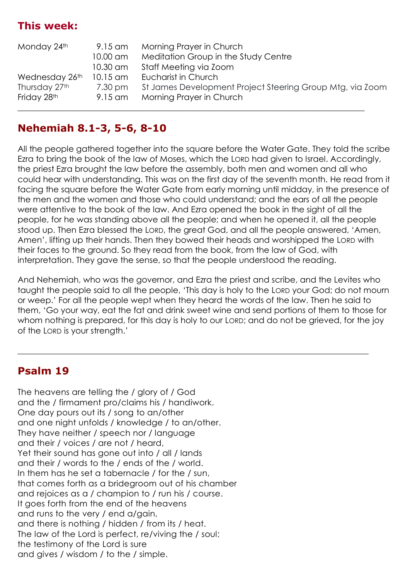# **This week:**

| Monday 24th                     | 9.15 am<br>10.00 am  | Morning Prayer in Church<br>Meditation Group in the Study Centre                                           |
|---------------------------------|----------------------|------------------------------------------------------------------------------------------------------------|
| Wednesday 26th<br>Thursday 27th | 10.30 am<br>10.15 am | Staff Meeting via Zoom<br>Eucharist in Church<br>St James Development Project Steering Group Mtg, via Zoom |
| Friday 28th                     | 7.30 pm<br>9.15 am   | Morning Prayer in Church                                                                                   |

# **Nehemiah 8.1-3, 5-6, 8-10**

All the people gathered together into the square before the Water Gate. They told the scribe Ezra to bring the book of the law of Moses, which the LORD had given to Israel. Accordingly, the priest Ezra brought the law before the assembly, both men and women and all who could hear with understanding. This was on the first day of the seventh month. He read from it facing the square before the Water Gate from early morning until midday, in the presence of the men and the women and those who could understand; and the ears of all the people were attentive to the book of the law. And Ezra opened the book in the sight of all the people, for he was standing above all the people; and when he opened it, all the people stood up. Then Ezra blessed the LORD, the great God, and all the people answered, 'Amen, Amen', lifting up their hands. Then they bowed their heads and worshipped the LORD with their faces to the ground. So they read from the book, from the law of God, with interpretation. They gave the sense, so that the people understood the reading.

And Nehemiah, who was the governor, and Ezra the priest and scribe, and the Levites who taught the people said to all the people, 'This day is holy to the LORD your God; do not mourn or weep.' For all the people wept when they heard the words of the law. Then he said to them, 'Go your way, eat the fat and drink sweet wine and send portions of them to those for whom nothing is prepared, for this day is holy to our LORD; and do not be grieved, for the joy of the LORD is your strength.'

 $\_$  , and the set of the set of the set of the set of the set of the set of the set of the set of the set of the set of the set of the set of the set of the set of the set of the set of the set of the set of the set of th

## **Psalm 19**

The heavens are telling the / glory of / God and the / firmament pro/claims his / handiwork. One day pours out its / song to an/other and one night unfolds / knowledge / to an/other. They have neither / speech nor / language and their / voices / are not / heard, Yet their sound has gone out into / all / lands and their / words to the / ends of the / world. In them has he set a tabernacle / for the / sun, that comes forth as a bridegroom out of his chamber and rejoices as a / champion to / run his / course. It goes forth from the end of the heavens and runs to the very / end a/gain, and there is nothing / hidden / from its / heat. The law of the Lord is perfect, re/viving the / soul; the testimony of the Lord is sure and gives / wisdom / to the / simple.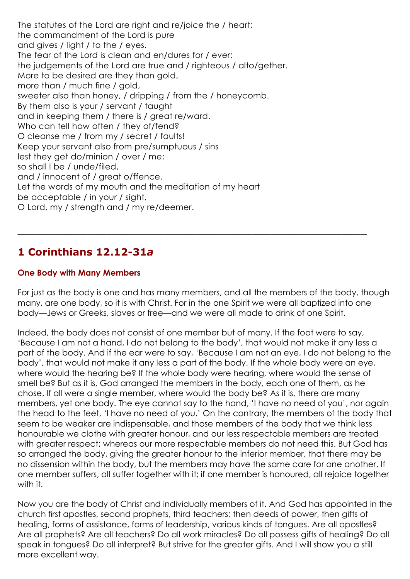The statutes of the Lord are right and re/joice the / heart; the commandment of the Lord is pure and gives / light / to the / eyes. The fear of the Lord is clean and en/dures for / ever; the judgements of the Lord are true and / righteous / alto/gether. More to be desired are they than gold, more than / much fine / gold, sweeter also than honey, / dripping / from the / honeycomb. By them also is your / servant / taught and in keeping them / there is / great re/ward. Who can tell how often / they of/fend? O cleanse me / from my / secret / faults! Keep your servant also from pre/sumptuous / sins lest they get do/minion / over / me; so shall I be / unde/filed, and / innocent of / great o/ffence. Let the words of my mouth and the meditation of my heart be acceptable / in your / sight, O Lord, my / strength and / my re/deemer.

# **1 Corinthians 12.12-31***a*

#### **One Body with Many Members**

For just as the body is one and has many members, and all the members of the body, though many, are one body, so it is with Christ. For in the one Spirit we were all baptized into one body—Jews or Greeks, slaves or free—and we were all made to drink of one Spirit.

 $\_$  , and the set of the set of the set of the set of the set of the set of the set of the set of the set of the set of the set of the set of the set of the set of the set of the set of the set of the set of the set of th

Indeed, the body does not consist of one member but of many. If the foot were to say, 'Because I am not a hand, I do not belong to the body', that would not make it any less a part of the body. And if the ear were to say, 'Because I am not an eye, I do not belong to the body', that would not make it any less a part of the body. If the whole body were an eye, where would the hearing be? If the whole body were hearing, where would the sense of smell be? But as it is, God arranged the members in the body, each one of them, as he chose. If all were a single member, where would the body be? As it is, there are many members, yet one body. The eye cannot say to the hand, 'I have no need of you', nor again the head to the feet, 'I have no need of you.' On the contrary, the members of the body that seem to be weaker are indispensable, and those members of the body that we think less honourable we clothe with greater honour, and our less respectable members are treated with greater respect; whereas our more respectable members do not need this. But God has so arranged the body, giving the greater honour to the inferior member, that there may be no dissension within the body, but the members may have the same care for one another. If one member suffers, all suffer together with it; if one member is honoured, all rejoice together with it.

Now you are the body of Christ and individually members of it. And God has appointed in the church first apostles, second prophets, third teachers; then deeds of power, then gifts of healing, forms of assistance, forms of leadership, various kinds of tongues. Are all apostles? Are all prophets? Are all teachers? Do all work miracles? Do all possess gifts of healing? Do all speak in tongues? Do all interpret? But strive for the greater gifts. And I will show you a still more excellent way.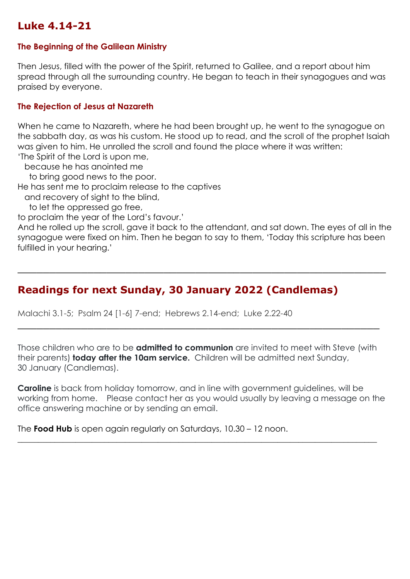# **Luke 4.14-21**

#### **The Beginning of the Galilean Ministry**

Then Jesus, filled with the power of the Spirit, returned to Galilee, and a report about him spread through all the surrounding country. He began to teach in their synagogues and was praised by everyone.

#### **The Rejection of Jesus at Nazareth**

When he came to Nazareth, where he had been brought up, he went to the synagogue on the sabbath day, as was his custom. He stood up to read, and the scroll of the prophet Isaiah was given to him. He unrolled the scroll and found the place where it was written: 'The Spirit of the Lord is upon me,

because he has anointed me

to bring good news to the poor.

He has sent me to proclaim release to the captives

and recovery of sight to the blind,

to let the oppressed go free,

to proclaim the year of the Lord's favour.'

And he rolled up the scroll, gave it back to the attendant, and sat down. The eyes of all in the synagogue were fixed on him. Then he began to say to them, 'Today this scripture has been fulfilled in your hearing.'

\_\_\_\_\_\_\_\_\_\_\_\_\_\_\_\_\_\_\_\_\_\_\_\_\_\_\_\_\_\_\_\_\_\_\_\_\_\_\_\_\_\_\_\_\_\_\_\_\_\_\_\_\_\_\_\_\_\_

# **Readings for next Sunday, 30 January 2022 (Candlemas)**

Malachi 3.1-5; Psalm 24 [1-6] 7-end; Hebrews 2.14-end; Luke 2.22-40

Those children who are to be **admitted to communion** are invited to meet with Steve (with their parents) **today after the 10am service.** Children will be admitted next Sunday, 30 January (Candlemas).

\_\_\_\_\_\_\_\_\_\_\_\_\_\_\_\_\_\_\_\_\_\_\_\_\_\_\_\_\_\_\_\_\_\_\_\_\_\_\_\_\_\_\_\_\_\_\_\_\_\_\_\_\_\_\_\_\_

**Caroline** is back from holiday tomorrow, and in line with government guidelines, will be working from home. Please contact her as you would usually by leaving a message on the office answering machine or by sending an email.

 $\_$  , and the set of the set of the set of the set of the set of the set of the set of the set of the set of the set of the set of the set of the set of the set of the set of the set of the set of the set of the set of th

The **Food Hub** is open again regularly on Saturdays, 10.30 – 12 noon.